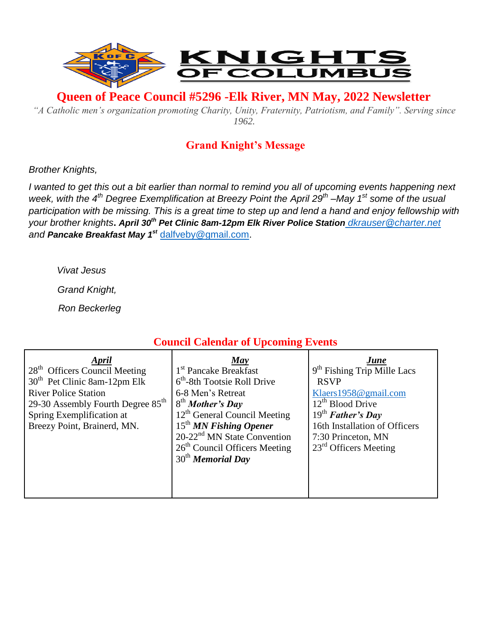

**Queen of Peace Council #5296 -Elk River, MN May, 2022 Newsletter** 

*"A Catholic men's organization promoting Charity, Unity, Fraternity, Patriotism, and Family". Serving since 1962.*

## **Grand Knight's Message**

#### *Brother Knights,*

*I wanted to get this out a bit earlier than normal to remind you all of upcoming events happening next week, with the 4th Degree Exemplification at Breezy Point the April 29th –May 1 st some of the usual participation with be missing. This is a great time to step up and lend a hand and enjoy fellowship with your brother knights***.** *April 30th Pet Clinic 8am-12pm Elk River Police Station [dkrauser@charter.net](mailto:dkrauser@charter.net)  and Pancake Breakfast May 1st* [dalfveby@gmail.com.](mailto:dalfveby@gmail.com)

*Vivat Jesus*

*Grand Knight,*

 *Ron Beckerleg*

# **Council Calendar of Upcoming Events**

| April                                         | May                                     | <b>June</b>                             |
|-----------------------------------------------|-----------------------------------------|-----------------------------------------|
| 28 <sup>th</sup> Officers Council Meeting     | 1 <sup>st</sup> Pancake Breakfast       | 9 <sup>th</sup> Fishing Trip Mille Lacs |
| 30 <sup>th</sup> Pet Clinic 8am-12pm Elk      | $6th$ -8th Tootsie Roll Drive           | <b>RSVP</b>                             |
| <b>River Police Station</b>                   | 6-8 Men's Retreat                       | Klaers $1958@$ gmail.com                |
| 29-30 Assembly Fourth Degree 85 <sup>th</sup> | 8 <sup>th</sup> Mother's Day            | $12th$ Blood Drive                      |
| Spring Exemplification at                     | $12th$ General Council Meeting          | $19th$ Father's Day                     |
| Breezy Point, Brainerd, MN.                   | $15th$ MN Fishing Opener                | 16th Installation of Officers           |
|                                               | 20-22 <sup>nd</sup> MN State Convention | 7:30 Princeton, MN                      |
|                                               | $26th$ Council Officers Meeting         | $23rd$ Officers Meeting                 |
|                                               | $30th$ Memorial Day                     |                                         |
|                                               |                                         |                                         |
|                                               |                                         |                                         |
|                                               |                                         |                                         |